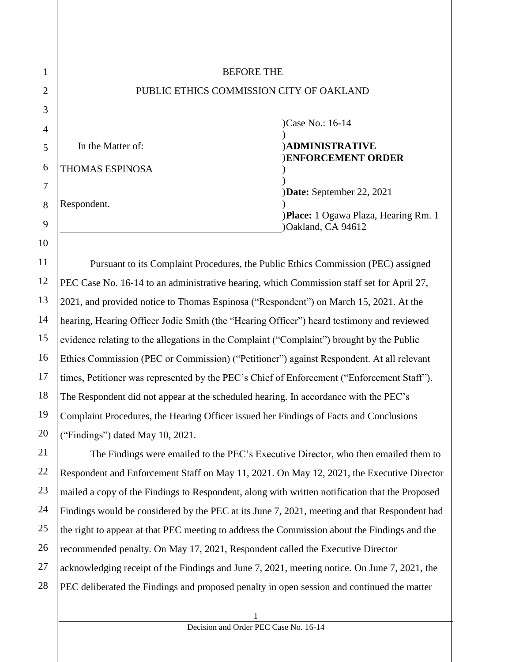|                        | <b>BEFORE THE</b>                        |
|------------------------|------------------------------------------|
|                        | PUBLIC ETHICS COMMISSION CITY OF OAKLAND |
|                        |                                          |
|                        | )Case No.: 16-14                         |
|                        |                                          |
| In the Matter of:      | <b>ADMINISTRATIVE</b>                    |
| <b>THOMAS ESPINOSA</b> | <b>ENFORCEMENT ORDER</b>                 |
|                        | <b>Date:</b> September 22, 2021          |
| Respondent.            |                                          |
|                        | )Place: 1 Ogawa Plaza, Hearing Rm. 1     |
|                        | )Oakland, CA 94612                       |

Pursuant to its Complaint Procedures, the Public Ethics Commission (PEC) assigned PEC Case No. 16-14 to an administrative hearing, which Commission staff set for April 27, 2021, and provided notice to Thomas Espinosa ("Respondent") on March 15, 2021. At the hearing, Hearing Officer Jodie Smith (the "Hearing Officer") heard testimony and reviewed evidence relating to the allegations in the Complaint ("Complaint") brought by the Public Ethics Commission (PEC or Commission) ("Petitioner") against Respondent. At all relevant times, Petitioner was represented by the PEC's Chief of Enforcement ("Enforcement Staff"). The Respondent did not appear at the scheduled hearing. In accordance with the PEC's Complaint Procedures, the Hearing Officer issued her Findings of Facts and Conclusions ("Findings") dated May 10, 2021.

The Findings were emailed to the PEC's Executive Director, who then emailed them to Respondent and Enforcement Staff on May 11, 2021. On May 12, 2021, the Executive Director mailed a copy of the Findings to Respondent, along with written notification that the Proposed Findings would be considered by the PEC at its June 7, 2021, meeting and that Respondent had the right to appear at that PEC meeting to address the Commission about the Findings and the recommended penalty. On May 17, 2021, Respondent called the Executive Director acknowledging receipt of the Findings and June 7, 2021, meeting notice. On June 7, 2021, the PEC deliberated the Findings and proposed penalty in open session and continued the matter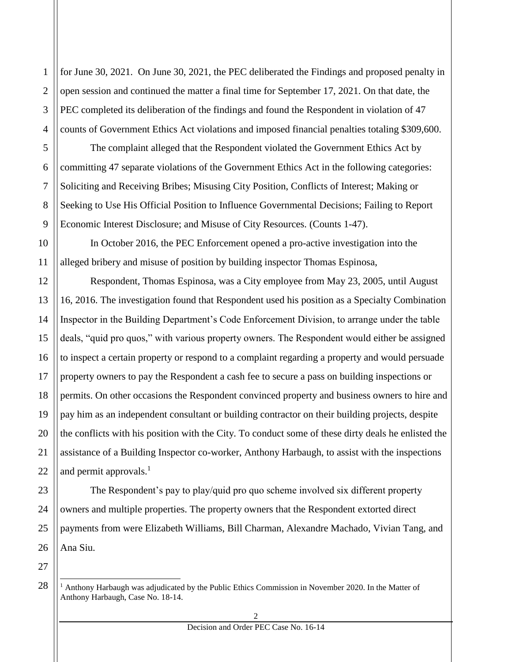for June 30, 2021. On June 30, 2021, the PEC deliberated the Findings and proposed penalty in open session and continued the matter a final time for September 17, 2021. On that date, the PEC completed its deliberation of the findings and found the Respondent in violation of 47 counts of Government Ethics Act violations and imposed financial penalties totaling \$309,600.

The complaint alleged that the Respondent violated the Government Ethics Act by committing 47 separate violations of the Government Ethics Act in the following categories: Soliciting and Receiving Bribes; Misusing City Position, Conflicts of Interest; Making or Seeking to Use His Official Position to Influence Governmental Decisions; Failing to Report Economic Interest Disclosure; and Misuse of City Resources. (Counts 1-47).

In October 2016, the PEC Enforcement opened a pro-active investigation into the alleged bribery and misuse of position by building inspector Thomas Espinosa,

Respondent, Thomas Espinosa, was a City employee from May 23, 2005, until August 16, 2016. The investigation found that Respondent used his position as a Specialty Combination Inspector in the Building Department's Code Enforcement Division, to arrange under the table deals, "quid pro quos," with various property owners. The Respondent would either be assigned to inspect a certain property or respond to a complaint regarding a property and would persuade property owners to pay the Respondent a cash fee to secure a pass on building inspections or permits. On other occasions the Respondent convinced property and business owners to hire and pay him as an independent consultant or building contractor on their building projects, despite the conflicts with his position with the City. To conduct some of these dirty deals he enlisted the assistance of a Building Inspector co-worker, Anthony Harbaugh, to assist with the inspections and permit approvals. $<sup>1</sup>$ </sup>

The Respondent's pay to play/quid pro quo scheme involved six different property owners and multiple properties. The property owners that the Respondent extorted direct payments from were Elizabeth Williams, Bill Charman, Alexandre Machado, Vivian Tang, and Ana Siu.

÷

1

2

 $<sup>1</sup>$  Anthony Harbaugh was adjudicated by the Public Ethics Commission in November 2020. In the Matter of</sup> Anthony Harbaugh, Case No. 18-14.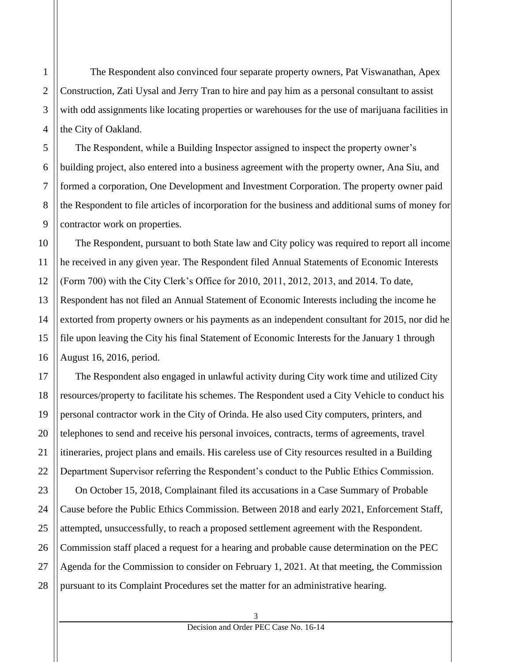The Respondent also convinced four separate property owners, Pat Viswanathan, Apex Construction, Zati Uysal and Jerry Tran to hire and pay him as a personal consultant to assist with odd assignments like locating properties or warehouses for the use of marijuana facilities in the City of Oakland.

The Respondent, while a Building Inspector assigned to inspect the property owner's building project, also entered into a business agreement with the property owner, Ana Siu, and formed a corporation, One Development and Investment Corporation. The property owner paid the Respondent to file articles of incorporation for the business and additional sums of money for contractor work on properties.

The Respondent, pursuant to both State law and City policy was required to report all income he received in any given year. The Respondent filed Annual Statements of Economic Interests (Form 700) with the City Clerk's Office for 2010, 2011, 2012, 2013, and 2014. To date, Respondent has not filed an Annual Statement of Economic Interests including the income he extorted from property owners or his payments as an independent consultant for 2015, nor did he file upon leaving the City his final Statement of Economic Interests for the January 1 through August 16, 2016, period.

The Respondent also engaged in unlawful activity during City work time and utilized City resources/property to facilitate his schemes. The Respondent used a City Vehicle to conduct his personal contractor work in the City of Orinda. He also used City computers, printers, and telephones to send and receive his personal invoices, contracts, terms of agreements, travel itineraries, project plans and emails. His careless use of City resources resulted in a Building Department Supervisor referring the Respondent's conduct to the Public Ethics Commission. On October 15, 2018, Complainant filed its accusations in a Case Summary of Probable Cause before the Public Ethics Commission. Between 2018 and early 2021, Enforcement Staff, attempted, unsuccessfully, to reach a proposed settlement agreement with the Respondent. Commission staff placed a request for a hearing and probable cause determination on the PEC Agenda for the Commission to consider on February 1, 2021. At that meeting, the Commission pursuant to its Complaint Procedures set the matter for an administrative hearing.

1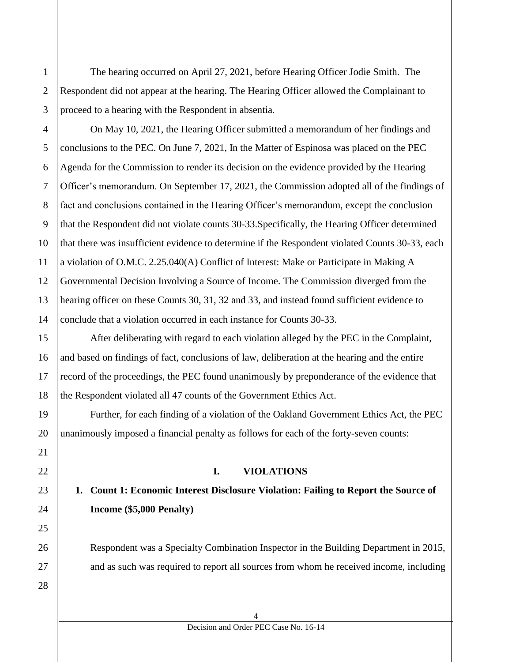The hearing occurred on April 27, 2021, before Hearing Officer Jodie Smith. The Respondent did not appear at the hearing. The Hearing Officer allowed the Complainant to proceed to a hearing with the Respondent in absentia.

On May 10, 2021, the Hearing Officer submitted a memorandum of her findings and conclusions to the PEC. On June 7, 2021, In the Matter of Espinosa was placed on the PEC Agenda for the Commission to render its decision on the evidence provided by the Hearing Officer's memorandum. On September 17, 2021, the Commission adopted all of the findings of fact and conclusions contained in the Hearing Officer's memorandum, except the conclusion that the Respondent did not violate counts 30-33.Specifically, the Hearing Officer determined that there was insufficient evidence to determine if the Respondent violated Counts 30-33, each a violation of O.M.C. 2.25.040(A) Conflict of Interest: Make or Participate in Making A Governmental Decision Involving a Source of Income. The Commission diverged from the hearing officer on these Counts 30, 31, 32 and 33, and instead found sufficient evidence to conclude that a violation occurred in each instance for Counts 30-33.

After deliberating with regard to each violation alleged by the PEC in the Complaint, and based on findings of fact, conclusions of law, deliberation at the hearing and the entire record of the proceedings, the PEC found unanimously by preponderance of the evidence that the Respondent violated all 47 counts of the Government Ethics Act.

Further, for each finding of a violation of the Oakland Government Ethics Act, the PEC unanimously imposed a financial penalty as follows for each of the forty-seven counts:

#### **I. VIOLATIONS**

#### **1. Count 1: Economic Interest Disclosure Violation: Failing to Report the Source of Income (\$5,000 Penalty)**

Respondent was a Specialty Combination Inspector in the Building Department in 2015, and as such was required to report all sources from whom he received income, including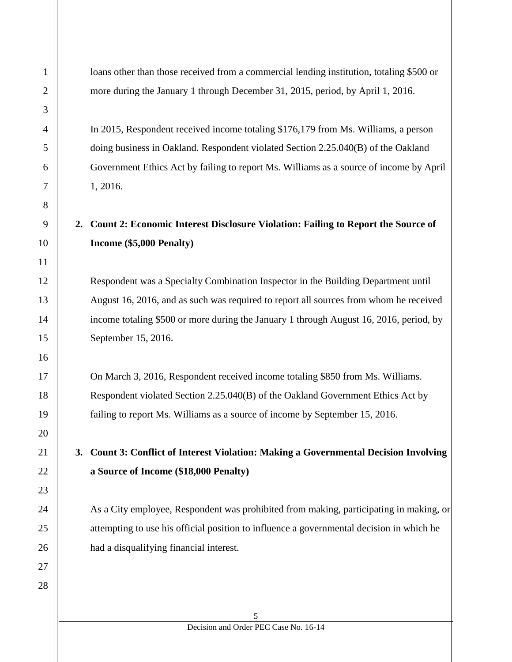loans other than those received from a commercial lending institution, totaling \$500 or more during the January 1 through December 31, 2015, period, by April 1, 2016.

In 2015, Respondent received income totaling \$176,179 from Ms. Williams, a person doing business in Oakland. Respondent violated Section 2.25.040(B) of the Oakland Government Ethics Act by failing to report Ms. Williams as a source of income by April 1, 2016.

# **2. Count 2: Economic Interest Disclosure Violation: Failing to Report the Source of Income (\$5,000 Penalty)**

Respondent was a Specialty Combination Inspector in the Building Department until August 16, 2016, and as such was required to report all sources from whom he received income totaling \$500 or more during the January 1 through August 16, 2016, period, by September 15, 2016.

On March 3, 2016, Respondent received income totaling \$850 from Ms. Williams. Respondent violated Section 2.25.040(B) of the Oakland Government Ethics Act by failing to report Ms. Williams as a source of income by September 15, 2016.

**3. Count 3: Conflict of Interest Violation: Making a Governmental Decision Involving a Source of Income (\$18,000 Penalty)**

As a City employee, Respondent was prohibited from making, participating in making, or attempting to use his official position to influence a governmental decision in which he had a disqualifying financial interest.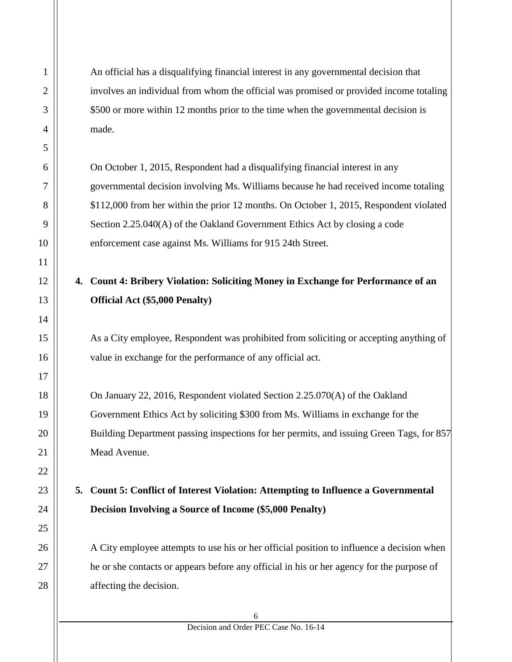An official has a disqualifying financial interest in any governmental decision that involves an individual from whom the official was promised or provided income totaling \$500 or more within 12 months prior to the time when the governmental decision is made.

On October 1, 2015, Respondent had a disqualifying financial interest in any governmental decision involving Ms. Williams because he had received income totaling \$112,000 from her within the prior 12 months. On October 1, 2015, Respondent violated Section 2.25.040(A) of the Oakland Government Ethics Act by closing a code enforcement case against Ms. Williams for 915 24th Street.

#### **4. Count 4: Bribery Violation: Soliciting Money in Exchange for Performance of an Official Act (\$5,000 Penalty)**

As a City employee, Respondent was prohibited from soliciting or accepting anything of value in exchange for the performance of any official act.

On January 22, 2016, Respondent violated Section 2.25.070(A) of the Oakland Government Ethics Act by soliciting \$300 from Ms. Williams in exchange for the Building Department passing inspections for her permits, and issuing Green Tags, for 857 Mead Avenue.

#### **5. Count 5: Conflict of Interest Violation: Attempting to Influence a Governmental Decision Involving a Source of Income (\$5,000 Penalty)**

A City employee attempts to use his or her official position to influence a decision when he or she contacts or appears before any official in his or her agency for the purpose of affecting the decision.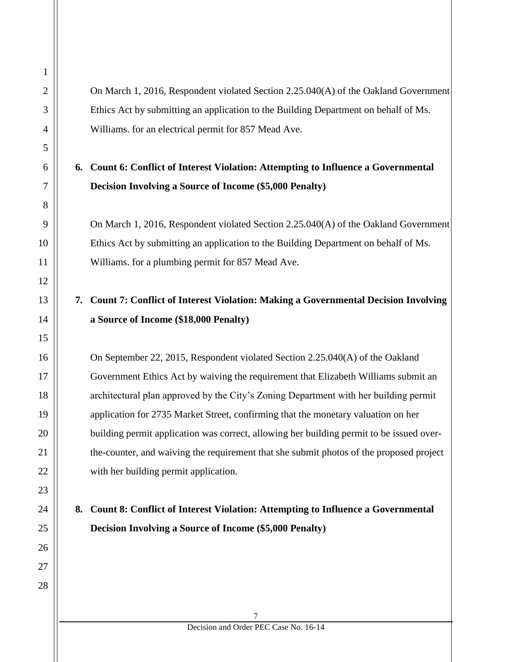On March 1, 2016, Respondent violated Section 2.25.040(A) of the Oakland Government Ethics Act by submitting an application to the Building Department on behalf of Ms. Williams. for an electrical permit for 857 Mead Ave.

# **6. Count 6: Conflict of Interest Violation: Attempting to Influence a Governmental Decision Involving a Source of Income (\$5,000 Penalty)**

On March 1, 2016, Respondent violated Section 2.25.040(A) of the Oakland Government Ethics Act by submitting an application to the Building Department on behalf of Ms. Williams. for a plumbing permit for 857 Mead Ave.

# **7. Count 7: Conflict of Interest Violation: Making a Governmental Decision Involving a Source of Income (\$18,000 Penalty)**

On September 22, 2015, Respondent violated Section 2.25.040(A) of the Oakland Government Ethics Act by waiving the requirement that Elizabeth Williams submit an architectural plan approved by the City's Zoning Department with her building permit application for 2735 Market Street, confirming that the monetary valuation on her building permit application was correct, allowing her building permit to be issued overthe-counter, and waiving the requirement that she submit photos of the proposed project with her building permit application.

# **8. Count 8: Conflict of Interest Violation: Attempting to Influence a Governmental Decision Involving a Source of Income (\$5,000 Penalty)**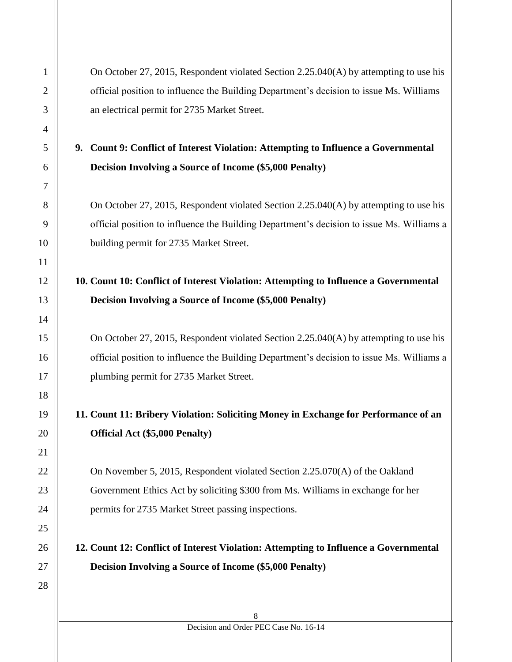|    | On October 27, 2015, Respondent violated Section 2.25.040(A) by attempting to use his<br>official position to influence the Building Department's decision to issue Ms. Williams<br>an electrical permit for 2735 Market Street.                                                                                                                                                |
|----|---------------------------------------------------------------------------------------------------------------------------------------------------------------------------------------------------------------------------------------------------------------------------------------------------------------------------------------------------------------------------------|
| 9. | Count 9: Conflict of Interest Violation: Attempting to Influence a Governmental                                                                                                                                                                                                                                                                                                 |
|    | <b>Decision Involving a Source of Income (\$5,000 Penalty)</b>                                                                                                                                                                                                                                                                                                                  |
|    | On October 27, 2015, Respondent violated Section 2.25.040(A) by attempting to use his<br>official position to influence the Building Department's decision to issue Ms. Williams a<br>building permit for 2735 Market Street.                                                                                                                                                   |
|    | 10. Count 10: Conflict of Interest Violation: Attempting to Influence a Governmental                                                                                                                                                                                                                                                                                            |
|    | <b>Decision Involving a Source of Income (\$5,000 Penalty)</b>                                                                                                                                                                                                                                                                                                                  |
|    | On October 27, 2015, Respondent violated Section 2.25.040(A) by attempting to use his<br>official position to influence the Building Department's decision to issue Ms. Williams a<br>plumbing permit for 2735 Market Street.                                                                                                                                                   |
|    | 11. Count 11: Bribery Violation: Soliciting Money in Exchange for Performance of an                                                                                                                                                                                                                                                                                             |
|    | <b>Official Act (\$5,000 Penalty)</b>                                                                                                                                                                                                                                                                                                                                           |
|    | On November 5, 2015, Respondent violated Section 2.25.070(A) of the Oakland<br>Government Ethics Act by soliciting \$300 from Ms. Williams in exchange for her<br>permits for 2735 Market Street passing inspections.<br>12. Count 12: Conflict of Interest Violation: Attempting to Influence a Governmental<br><b>Decision Involving a Source of Income (\$5,000 Penalty)</b> |

1

2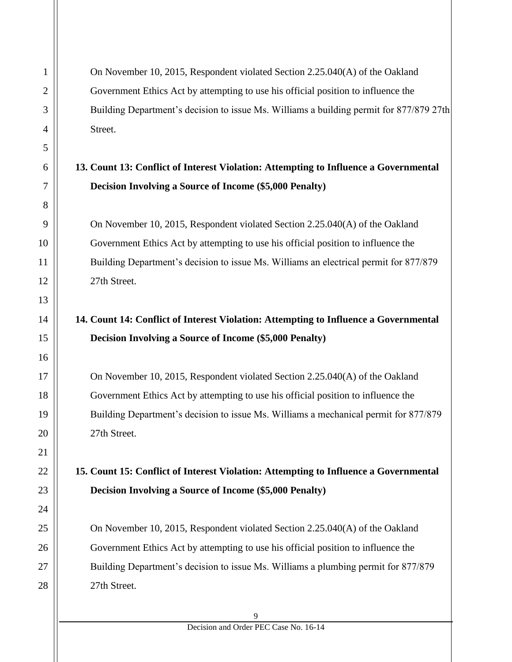On November 10, 2015, Respondent violated Section 2.25.040(A) of the Oakland Government Ethics Act by attempting to use his official position to influence the Building Department's decision to issue Ms. Williams a building permit for 877/879 27th Street.

#### **13. Count 13: Conflict of Interest Violation: Attempting to Influence a Governmental Decision Involving a Source of Income (\$5,000 Penalty)**

On November 10, 2015, Respondent violated Section 2.25.040(A) of the Oakland Government Ethics Act by attempting to use his official position to influence the Building Department's decision to issue Ms. Williams an electrical permit for 877/879 27th Street.

# **14. Count 14: Conflict of Interest Violation: Attempting to Influence a Governmental Decision Involving a Source of Income (\$5,000 Penalty)**

On November 10, 2015, Respondent violated Section 2.25.040(A) of the Oakland Government Ethics Act by attempting to use his official position to influence the Building Department's decision to issue Ms. Williams a mechanical permit for 877/879 27th Street.

**15. Count 15: Conflict of Interest Violation: Attempting to Influence a Governmental Decision Involving a Source of Income (\$5,000 Penalty)**

On November 10, 2015, Respondent violated Section 2.25.040(A) of the Oakland Government Ethics Act by attempting to use his official position to influence the Building Department's decision to issue Ms. Williams a plumbing permit for 877/879 27th Street.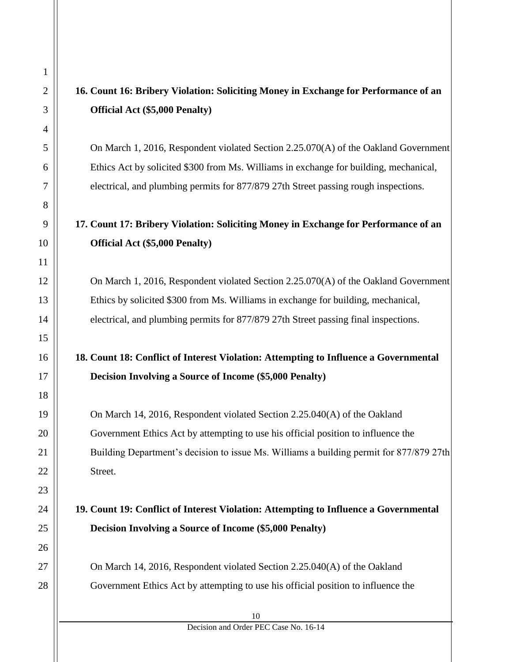# **16. Count 16: Bribery Violation: Soliciting Money in Exchange for Performance of an Official Act (\$5,000 Penalty)**

On March 1, 2016, Respondent violated Section 2.25.070(A) of the Oakland Government Ethics Act by solicited \$300 from Ms. Williams in exchange for building, mechanical, electrical, and plumbing permits for 877/879 27th Street passing rough inspections.

# **17. Count 17: Bribery Violation: Soliciting Money in Exchange for Performance of an Official Act (\$5,000 Penalty)**

On March 1, 2016, Respondent violated Section 2.25.070(A) of the Oakland Government Ethics by solicited \$300 from Ms. Williams in exchange for building, mechanical, electrical, and plumbing permits for 877/879 27th Street passing final inspections.

# **18. Count 18: Conflict of Interest Violation: Attempting to Influence a Governmental Decision Involving a Source of Income (\$5,000 Penalty)**

On March 14, 2016, Respondent violated Section 2.25.040(A) of the Oakland Government Ethics Act by attempting to use his official position to influence the Building Department's decision to issue Ms. Williams a building permit for 877/879 27th Street.

# **19. Count 19: Conflict of Interest Violation: Attempting to Influence a Governmental Decision Involving a Source of Income (\$5,000 Penalty)**

On March 14, 2016, Respondent violated Section 2.25.040(A) of the Oakland Government Ethics Act by attempting to use his official position to influence the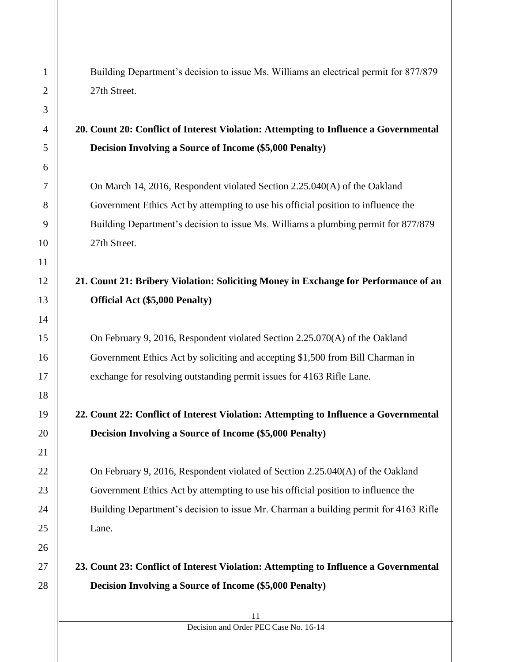Building Department's decision to issue Ms. Williams an electrical permit for 877/879 27th Street.

#### **20. Count 20: Conflict of Interest Violation: Attempting to Influence a Governmental Decision Involving a Source of Income (\$5,000 Penalty)**

On March 14, 2016, Respondent violated Section 2.25.040(A) of the Oakland Government Ethics Act by attempting to use his official position to influence the Building Department's decision to issue Ms. Williams a plumbing permit for 877/879 27th Street.

# **21. Count 21: Bribery Violation: Soliciting Money in Exchange for Performance of an Official Act (\$5,000 Penalty)**

On February 9, 2016, Respondent violated Section 2.25.070(A) of the Oakland Government Ethics Act by soliciting and accepting \$1,500 from Bill Charman in exchange for resolving outstanding permit issues for 4163 Rifle Lane.

# **22. Count 22: Conflict of Interest Violation: Attempting to Influence a Governmental Decision Involving a Source of Income (\$5,000 Penalty)**

On February 9, 2016, Respondent violated of Section 2.25.040(A) of the Oakland Government Ethics Act by attempting to use his official position to influence the Building Department's decision to issue Mr. Charman a building permit for 4163 Rifle Lane.

#### **23. Count 23: Conflict of Interest Violation: Attempting to Influence a Governmental Decision Involving a Source of Income (\$5,000 Penalty)**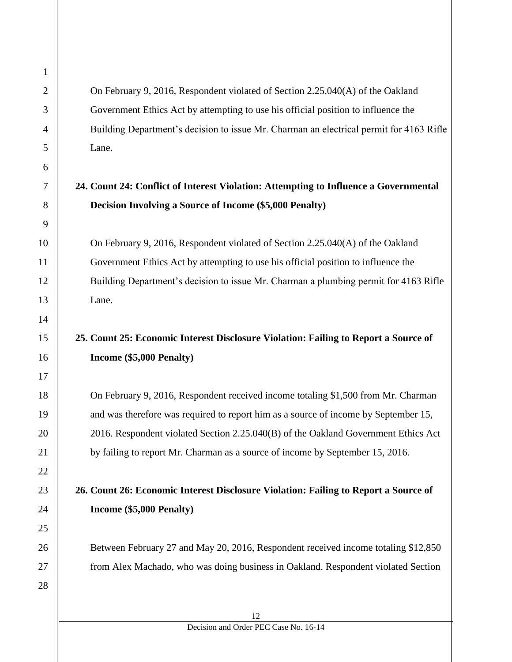On February 9, 2016, Respondent violated of Section 2.25.040(A) of the Oakland Government Ethics Act by attempting to use his official position to influence the Building Department's decision to issue Mr. Charman an electrical permit for 4163 Rifle Lane.

#### **24. Count 24: Conflict of Interest Violation: Attempting to Influence a Governmental Decision Involving a Source of Income (\$5,000 Penalty)**

On February 9, 2016, Respondent violated of Section 2.25.040(A) of the Oakland Government Ethics Act by attempting to use his official position to influence the Building Department's decision to issue Mr. Charman a plumbing permit for 4163 Rifle Lane.

# **25. Count 25: Economic Interest Disclosure Violation: Failing to Report a Source of Income (\$5,000 Penalty)**

On February 9, 2016, Respondent received income totaling \$1,500 from Mr. Charman and was therefore was required to report him as a source of income by September 15, 2016. Respondent violated Section 2.25.040(B) of the Oakland Government Ethics Act by failing to report Mr. Charman as a source of income by September 15, 2016.

#### **26. Count 26: Economic Interest Disclosure Violation: Failing to Report a Source of Income (\$5,000 Penalty)**

Between February 27 and May 20, 2016, Respondent received income totaling \$12,850 from Alex Machado, who was doing business in Oakland. Respondent violated Section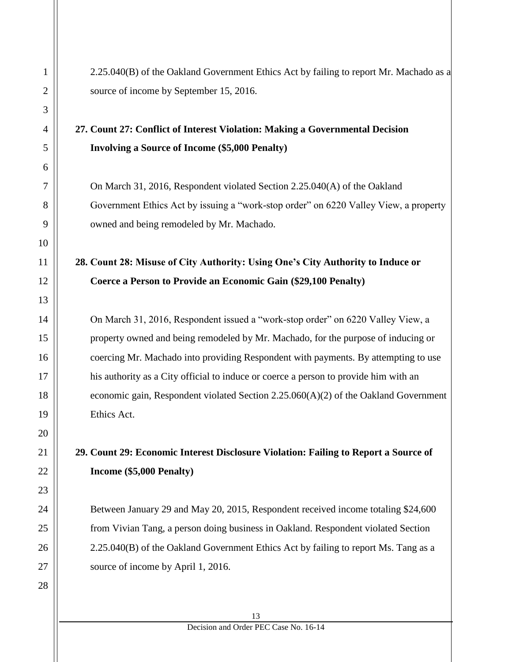2.25.040(B) of the Oakland Government Ethics Act by failing to report Mr. Machado as a source of income by September 15, 2016.

#### **27. Count 27: Conflict of Interest Violation: Making a Governmental Decision Involving a Source of Income (\$5,000 Penalty)**

On March 31, 2016, Respondent violated Section 2.25.040(A) of the Oakland Government Ethics Act by issuing a "work-stop order" on 6220 Valley View, a property owned and being remodeled by Mr. Machado.

# **28. Count 28: Misuse of City Authority: Using One's City Authority to Induce or Coerce a Person to Provide an Economic Gain (\$29,100 Penalty)**

On March 31, 2016, Respondent issued a "work-stop order" on 6220 Valley View, a property owned and being remodeled by Mr. Machado, for the purpose of inducing or coercing Mr. Machado into providing Respondent with payments. By attempting to use his authority as a City official to induce or coerce a person to provide him with an economic gain, Respondent violated Section 2.25.060(A)(2) of the Oakland Government Ethics Act.

# **29. Count 29: Economic Interest Disclosure Violation: Failing to Report a Source of Income (\$5,000 Penalty)**

Between January 29 and May 20, 2015, Respondent received income totaling \$24,600 from Vivian Tang, a person doing business in Oakland. Respondent violated Section 2.25.040(B) of the Oakland Government Ethics Act by failing to report Ms. Tang as a source of income by April 1, 2016.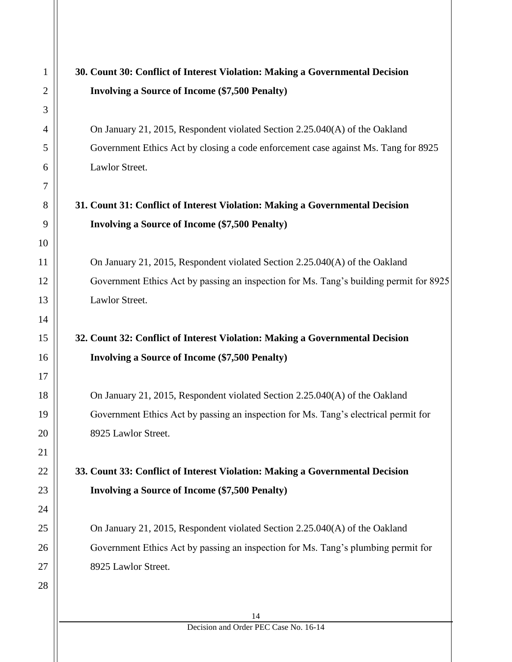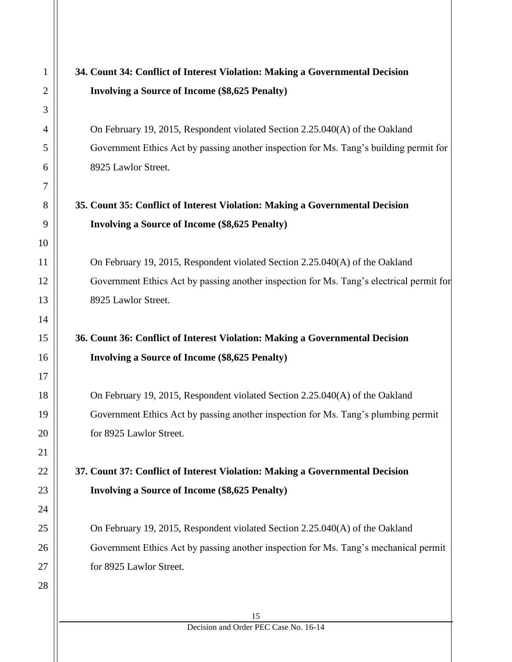# **34. Count 34: Conflict of Interest Violation: Making a Governmental Decision Involving a Source of Income (\$8,625 Penalty)**

On February 19, 2015, Respondent violated Section 2.25.040(A) of the Oakland Government Ethics Act by passing another inspection for Ms. Tang's building permit for 8925 Lawlor Street.

#### **35. Count 35: Conflict of Interest Violation: Making a Governmental Decision Involving a Source of Income (\$8,625 Penalty)**

On February 19, 2015, Respondent violated Section 2.25.040(A) of the Oakland Government Ethics Act by passing another inspection for Ms. Tang's electrical permit for 8925 Lawlor Street.

# **36. Count 36: Conflict of Interest Violation: Making a Governmental Decision Involving a Source of Income (\$8,625 Penalty)**

On February 19, 2015, Respondent violated Section 2.25.040(A) of the Oakland Government Ethics Act by passing another inspection for Ms. Tang's plumbing permit for 8925 Lawlor Street.

**37. Count 37: Conflict of Interest Violation: Making a Governmental Decision Involving a Source of Income (\$8,625 Penalty)**

On February 19, 2015, Respondent violated Section 2.25.040(A) of the Oakland Government Ethics Act by passing another inspection for Ms. Tang's mechanical permit for 8925 Lawlor Street.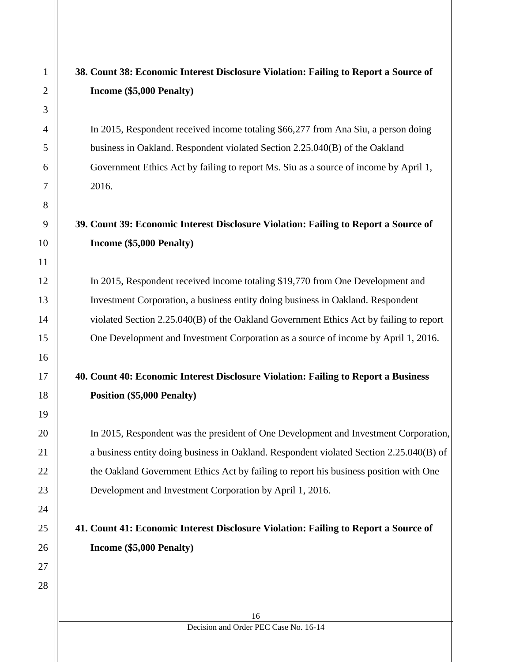# **38. Count 38: Economic Interest Disclosure Violation: Failing to Report a Source of Income (\$5,000 Penalty)**

In 2015, Respondent received income totaling \$66,277 from Ana Siu, a person doing business in Oakland. Respondent violated Section 2.25.040(B) of the Oakland Government Ethics Act by failing to report Ms. Siu as a source of income by April 1, 2016.

# **39. Count 39: Economic Interest Disclosure Violation: Failing to Report a Source of Income (\$5,000 Penalty)**

In 2015, Respondent received income totaling \$19,770 from One Development and Investment Corporation, a business entity doing business in Oakland. Respondent violated Section 2.25.040(B) of the Oakland Government Ethics Act by failing to report One Development and Investment Corporation as a source of income by April 1, 2016.

#### **40. Count 40: Economic Interest Disclosure Violation: Failing to Report a Business Position (\$5,000 Penalty)**

In 2015, Respondent was the president of One Development and Investment Corporation, a business entity doing business in Oakland. Respondent violated Section 2.25.040(B) of the Oakland Government Ethics Act by failing to report his business position with One Development and Investment Corporation by April 1, 2016.

# **41. Count 41: Economic Interest Disclosure Violation: Failing to Report a Source of Income (\$5,000 Penalty)**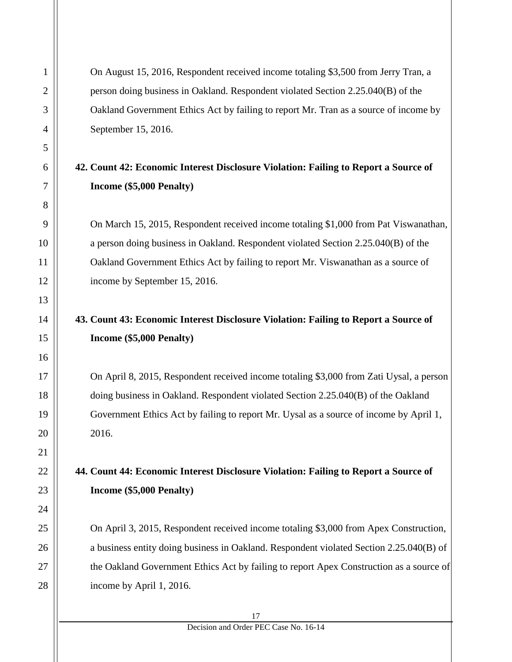On August 15, 2016, Respondent received income totaling \$3,500 from Jerry Tran, a person doing business in Oakland. Respondent violated Section 2.25.040(B) of the Oakland Government Ethics Act by failing to report Mr. Tran as a source of income by September 15, 2016.

#### **42. Count 42: Economic Interest Disclosure Violation: Failing to Report a Source of Income (\$5,000 Penalty)**

On March 15, 2015, Respondent received income totaling \$1,000 from Pat Viswanathan, a person doing business in Oakland. Respondent violated Section 2.25.040(B) of the Oakland Government Ethics Act by failing to report Mr. Viswanathan as a source of income by September 15, 2016.

# **43. Count 43: Economic Interest Disclosure Violation: Failing to Report a Source of Income (\$5,000 Penalty)**

On April 8, 2015, Respondent received income totaling \$3,000 from Zati Uysal, a person doing business in Oakland. Respondent violated Section 2.25.040(B) of the Oakland Government Ethics Act by failing to report Mr. Uysal as a source of income by April 1, 2016.

# **44. Count 44: Economic Interest Disclosure Violation: Failing to Report a Source of Income (\$5,000 Penalty)**

On April 3, 2015, Respondent received income totaling \$3,000 from Apex Construction, a business entity doing business in Oakland. Respondent violated Section 2.25.040(B) of the Oakland Government Ethics Act by failing to report Apex Construction as a source of income by April 1, 2016.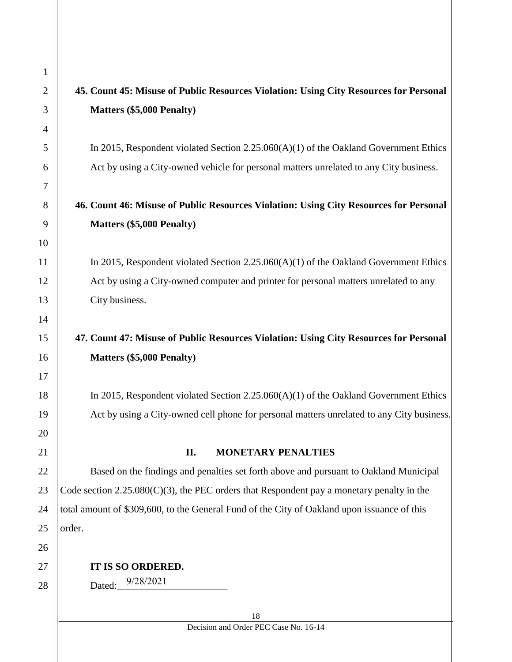# **45. Count 45: Misuse of Public Resources Violation: Using City Resources for Personal Matters (\$5,000 Penalty)**

In 2015, Respondent violated Section 2.25.060(A)(1) of the Oakland Government Ethics Act by using a City-owned vehicle for personal matters unrelated to any City business.

#### **46. Count 46: Misuse of Public Resources Violation: Using City Resources for Personal Matters (\$5,000 Penalty)**

In 2015, Respondent violated Section 2.25.060(A)(1) of the Oakland Government Ethics Act by using a City-owned computer and printer for personal matters unrelated to any City business.

# **47. Count 47: Misuse of Public Resources Violation: Using City Resources for Personal Matters (\$5,000 Penalty)**

In 2015, Respondent violated Section 2.25.060(A)(1) of the Oakland Government Ethics Act by using a City-owned cell phone for personal matters unrelated to any City business.

#### **II. MONETARY PENALTIES**

Based on the findings and penalties set forth above and pursuant to Oakland Municipal Code section 2.25.080(C)(3), the PEC orders that Respondent pay a monetary penalty in the total amount of \$309,600, to the General Fund of the City of Oakland upon issuance of this order.

#### **IT IS SO ORDERED.**

Dated:  $9/28/2021$